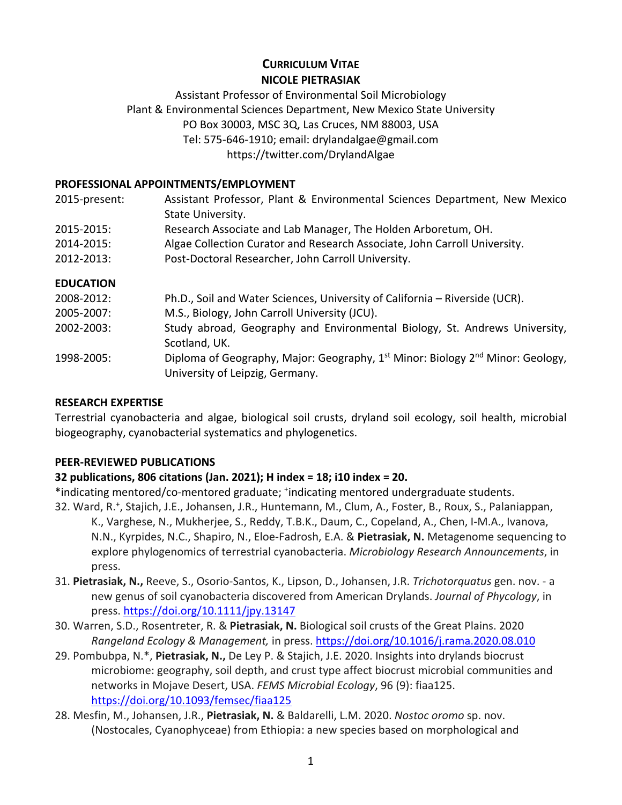# **CURRICULUM VITAE NICOLE PIETRASIAK**

## Assistant Professor of Environmental Soil Microbiology Plant & Environmental Sciences Department, New Mexico State University PO Box 30003, MSC 3Q, Las Cruces, NM 88003, USA Tel: 575-646-1910; email: drylandalgae@gmail.com https://twitter.com/DrylandAlgae

## **PROFESSIONAL APPOINTMENTS/EMPLOYMENT**

| 2015-present:    | Assistant Professor, Plant & Environmental Sciences Department, New Mexico<br>State University.                                           |
|------------------|-------------------------------------------------------------------------------------------------------------------------------------------|
| 2015-2015:       | Research Associate and Lab Manager, The Holden Arboretum, OH.                                                                             |
| 2014-2015:       | Algae Collection Curator and Research Associate, John Carroll University.                                                                 |
| 2012-2013:       | Post-Doctoral Researcher, John Carroll University.                                                                                        |
| <b>EDUCATION</b> |                                                                                                                                           |
| 2008-2012:       | Ph.D., Soil and Water Sciences, University of California - Riverside (UCR).                                                               |
| 2005-2007:       | M.S., Biology, John Carroll University (JCU).                                                                                             |
| 2002-2003:       | Study abroad, Geography and Environmental Biology, St. Andrews University,<br>Scotland, UK.                                               |
| 1998-2005:       | Diploma of Geography, Major: Geography, 1 <sup>st</sup> Minor: Biology 2 <sup>nd</sup> Minor: Geology,<br>University of Leipzig, Germany. |

## **RESEARCH EXPERTISE**

Terrestrial cyanobacteria and algae, biological soil crusts, dryland soil ecology, soil health, microbial biogeography, cyanobacterial systematics and phylogenetics.

## **PEER-REVIEWED PUBLICATIONS**

# **32 publications, 806 citations (Jan. 2021); H index = 18; i10 index = 20.**

\*indicating mentored/co-mentored graduate; \*indicating mentored undergraduate students. 32. Ward, R.+ , Stajich, J.E., Johansen, J.R., Huntemann, M., Clum, A., Foster, B., Roux, S., Palaniappan, K., Varghese, N., Mukherjee, S., Reddy, T.B.K., Daum, C., Copeland, A., Chen, I-M.A., Ivanova, N.N., Kyrpides, N.C., Shapiro, N., Eloe-Fadrosh, E.A. & **Pietrasiak, N.** Metagenome sequencing to explore phylogenomics of terrestrial cyanobacteria. *Microbiology Research Announcements*, in press.

- 31. **Pietrasiak, N.,** Reeve, S., Osorio-Santos, K., Lipson, D., Johansen, J.R. *Trichotorquatus* gen. nov. a new genus of soil cyanobacteria discovered from American Drylands. *Journal of Phycology*, in press. https://doi.org/10.1111/jpy.13147
- 30. Warren, S.D., Rosentreter, R. & **Pietrasiak, N.** Biological soil crusts of the Great Plains. 2020 *Rangeland Ecology & Management,* in press. https://doi.org/10.1016/j.rama.2020.08.010
- 29. Pombubpa, N.\*, **Pietrasiak, N.,** De Ley P. & Stajich, J.E. 2020. Insights into drylands biocrust microbiome: geography, soil depth, and crust type affect biocrust microbial communities and networks in Mojave Desert, USA. *FEMS Microbial Ecology*, 96 (9): fiaa125. https://doi.org/10.1093/femsec/fiaa125
- 28. Mesfin, M., Johansen, J.R., **Pietrasiak, N.** & Baldarelli, L.M. 2020. *Nostoc oromo* sp. nov. (Nostocales, Cyanophyceae) from Ethiopia: a new species based on morphological and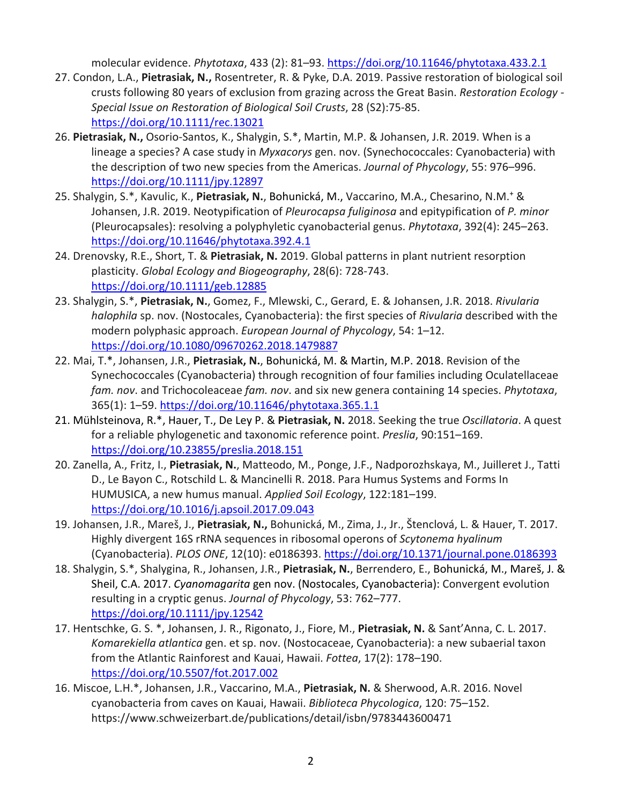molecular evidence. *Phytotaxa*, 433 (2): 81–93. https://doi.org/10.11646/phytotaxa.433.2.1

- 27. Condon, L.A., **Pietrasiak, N.,** Rosentreter, R. & Pyke, D.A. 2019. Passive restoration of biological soil crusts following 80 years of exclusion from grazing across the Great Basin. *Restoration Ecology - Special Issue on Restoration of Biological Soil Crusts*, 28 (S2):75-85. https://doi.org/10.1111/rec.13021
- 26. **Pietrasiak, N.,** Osorio-Santos, K., Shalygin, S.\*, Martin, M.P. & Johansen, J.R. 2019. When is a lineage a species? A case study in *Myxacorys* gen. nov. (Synechococcales: Cyanobacteria) with the description of two new species from the Americas. *Journal of Phycology*, 55: 976–996. https://doi.org/10.1111/jpy.12897
- 25. Shalygin, S.\*, Kavulic, K., **Pietrasiak, N.**, Bohunická, M., Vaccarino, M.A., Chesarino, N.M.+ & Johansen, J.R. 2019. Neotypification of *Pleurocapsa fuliginosa* and epitypification of *P. minor* (Pleurocapsales): resolving a polyphyletic cyanobacterial genus. *Phytotaxa*, 392(4): 245–263. https://doi.org/10.11646/phytotaxa.392.4.1
- 24. Drenovsky, R.E., Short, T. & **Pietrasiak, N.** 2019. Global patterns in plant nutrient resorption plasticity. *Global Ecology and Biogeography*, 28(6): 728-743. https://doi.org/10.1111/geb.12885
- 23. Shalygin, S.\*, **Pietrasiak, N.**, Gomez, F., Mlewski, C., Gerard, E. & Johansen, J.R. 2018. *Rivularia halophila* sp. nov. (Nostocales, Cyanobacteria): the first species of *Rivularia* described with the modern polyphasic approach. *European Journal of Phycology*, 54: 1–12. https://doi.org/10.1080/09670262.2018.1479887
- 22. Mai, T.\*, Johansen, J.R., **Pietrasiak, N.**, Bohunická, M. & Martin, M.P. 2018. Revision of the Synechococcales (Cyanobacteria) through recognition of four families including Oculatellaceae *fam. nov*. and Trichocoleaceae *fam. nov*. and six new genera containing 14 species. *Phytotaxa*, 365(1): 1–59. https://doi.org/10.11646/phytotaxa.365.1.1
- 21. Mühlsteinova, R.\*, Hauer, T., De Ley P. & **Pietrasiak, N.** 2018. Seeking the true *Oscillatoria*. A quest for a reliable phylogenetic and taxonomic reference point. *Preslia*, 90:151–169. https://doi.org/10.23855/preslia.2018.151
- 20. Zanella, A., Fritz, I., **Pietrasiak, N.**, Matteodo, M., Ponge, J.F., Nadporozhskaya, M., Juilleret J., Tatti D., Le Bayon C., Rotschild L. & Mancinelli R. 2018. Para Humus Systems and Forms In HUMUSICA, a new humus manual. *Applied Soil Ecology*, 122:181–199. https://doi.org/10.1016/j.apsoil.2017.09.043
- 19. Johansen, J.R., Mareš, J., **Pietrasiak, N.,** Bohunická, M., Zima, J., Jr., Štenclová, L. & Hauer, T. 2017. Highly divergent 16S rRNA sequences in ribosomal operons of *Scytonema hyalinum* (Cyanobacteria). *PLOS ONE*, 12(10): e0186393. https://doi.org/10.1371/journal.pone.0186393
- 18. Shalygin, S.\*, Shalygina, R., Johansen, J.R., **Pietrasiak, N.**, Berrendero, E., Bohunická, M., Mareš, J. & Sheil, C.A. 2017. *Cyanomagarita* gen nov. (Nostocales, Cyanobacteria): Convergent evolution resulting in a cryptic genus. *Journal of Phycology*, 53: 762–777. https://doi.org/10.1111/jpy.12542
- 17. Hentschke, G. S. \*, Johansen, J. R., Rigonato, J., Fiore, M., **Pietrasiak, N.** & Sant'Anna, C. L. 2017. *Komarekiella atlantica* gen. et sp. nov. (Nostocaceae, Cyanobacteria): a new subaerial taxon from the Atlantic Rainforest and Kauai, Hawaii. *Fottea*, 17(2): 178–190. https://doi.org/10.5507/fot.2017.002
- 16. Miscoe, L.H.\*, Johansen, J.R., Vaccarino, M.A., **Pietrasiak, N.** & Sherwood, A.R. 2016. Novel cyanobacteria from caves on Kauai, Hawaii. *Biblioteca Phycologica*, 120: 75–152. https://www.schweizerbart.de/publications/detail/isbn/9783443600471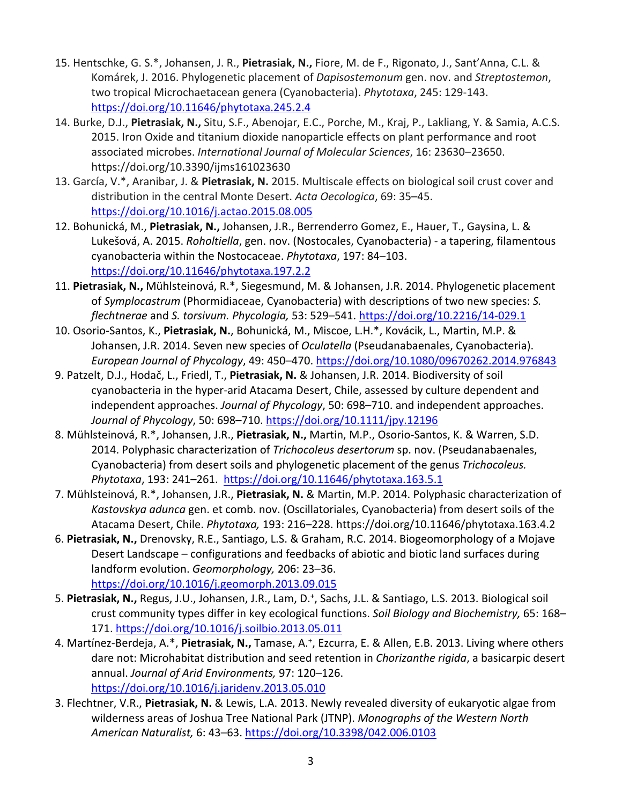- 15. Hentschke, G. S.\*, Johansen, J. R., **Pietrasiak, N.,** Fiore, M. de F., Rigonato, J., Sant'Anna, C.L. & Komárek, J. 2016. Phylogenetic placement of *Dapisostemonum* gen. nov. and *Streptostemon*, two tropical Microchaetacean genera (Cyanobacteria). *Phytotaxa*, 245: 129-143. https://doi.org/10.11646/phytotaxa.245.2.4
- 14. Burke, D.J., **Pietrasiak, N.,** Situ, S.F., Abenojar, E.C., Porche, M., Kraj, P., Lakliang, Y. & Samia, A.C.S. 2015. Iron Oxide and titanium dioxide nanoparticle effects on plant performance and root associated microbes. *International Journal of Molecular Sciences*, 16: 23630–23650. https://doi.org/10.3390/ijms161023630
- 13. García, V.\*, Aranibar, J. & **Pietrasiak, N.** 2015. Multiscale effects on biological soil crust cover and distribution in the central Monte Desert. *Acta Oecologica*, 69: 35–45. https://doi.org/10.1016/j.actao.2015.08.005
- 12. Bohunická, M., **Pietrasiak, N.,** Johansen, J.R., Berrenderro Gomez, E., Hauer, T., Gaysina, L. & Lukešová, A. 2015. *Roholtiella*, gen. nov. (Nostocales, Cyanobacteria) - a tapering, filamentous cyanobacteria within the Nostocaceae. *Phytotaxa*, 197: 84–103. https://doi.org/10.11646/phytotaxa.197.2.2
- 11. **Pietrasiak, N.,** Mühlsteinová, R.\*, Siegesmund, M. & Johansen, J.R. 2014. Phylogenetic placement of *Symplocastrum* (Phormidiaceae, Cyanobacteria) with descriptions of two new species: *S. flechtnerae* and *S. torsivum. Phycologia,* 53: 529–541. https://doi.org/10.2216/14-029.1
- 10. Osorio-Santos, K., **Pietrasiak, N.**, Bohunická, M., Miscoe, L.H.\*, Kovácik, L., Martin, M.P. & Johansen, J.R. 2014. Seven new species of *Oculatella* (Pseudanabaenales, Cyanobacteria). *European Journal of Phycology*, 49: 450–470. https://doi.org/10.1080/09670262.2014.976843
- 9. Patzelt, D.J., Hodač, L., Friedl, T., **Pietrasiak, N.** & Johansen, J.R. 2014. Biodiversity of soil cyanobacteria in the hyper-arid Atacama Desert, Chile, assessed by culture dependent and independent approaches. *Journal of Phycology*, 50: 698–710. and independent approaches. *Journal of Phycology*, 50: 698–710. https://doi.org/10.1111/jpy.12196
- 8. Mühlsteinová, R.\*, Johansen, J.R., **Pietrasiak, N.,** Martin, M.P., Osorio-Santos, K. & Warren, S.D. 2014. Polyphasic characterization of *Trichocoleus desertorum* sp. nov. (Pseudanabaenales, Cyanobacteria) from desert soils and phylogenetic placement of the genus *Trichocoleus. Phytotaxa*, 193: 241–261. https://doi.org/10.11646/phytotaxa.163.5.1
- 7. Mühlsteinová, R.\*, Johansen, J.R., **Pietrasiak, N.** & Martin, M.P. 2014. Polyphasic characterization of *Kastovskya adunca* gen. et comb. nov. (Oscillatoriales, Cyanobacteria) from desert soils of the Atacama Desert, Chile. *Phytotaxa,* 193: 216–228. https://doi.org/10.11646/phytotaxa.163.4.2
- 6. **Pietrasiak, N.,** Drenovsky, R.E., Santiago, L.S. & Graham, R.C. 2014. Biogeomorphology of a Mojave Desert Landscape – configurations and feedbacks of abiotic and biotic land surfaces during landform evolution. *Geomorphology,* 206: 23–36. https://doi.org/10.1016/j.geomorph.2013.09.015
- 5. Pietrasiak, N., Regus, J.U., Johansen, J.R., Lam, D.<sup>+</sup>, Sachs, J.L. & Santiago, L.S. 2013. Biological soil crust community types differ in key ecological functions. *Soil Biology and Biochemistry,* 65: 168– 171. https://doi.org/10.1016/j.soilbio.2013.05.011
- 4. Martínez-Berdeja, A.\*, Pietrasiak, N., Tamase, A.<sup>+</sup>, Ezcurra, E. & Allen, E.B. 2013. Living where others dare not: Microhabitat distribution and seed retention in *Chorizanthe rigida*, a basicarpic desert annual. *Journal of Arid Environments,* 97: 120–126. https://doi.org/10.1016/j.jaridenv.2013.05.010
- 3. Flechtner, V.R., **Pietrasiak, N.** & Lewis, L.A. 2013. Newly revealed diversity of eukaryotic algae from wilderness areas of Joshua Tree National Park (JTNP). *Monographs of the Western North American Naturalist,* 6: 43–63. https://doi.org/10.3398/042.006.0103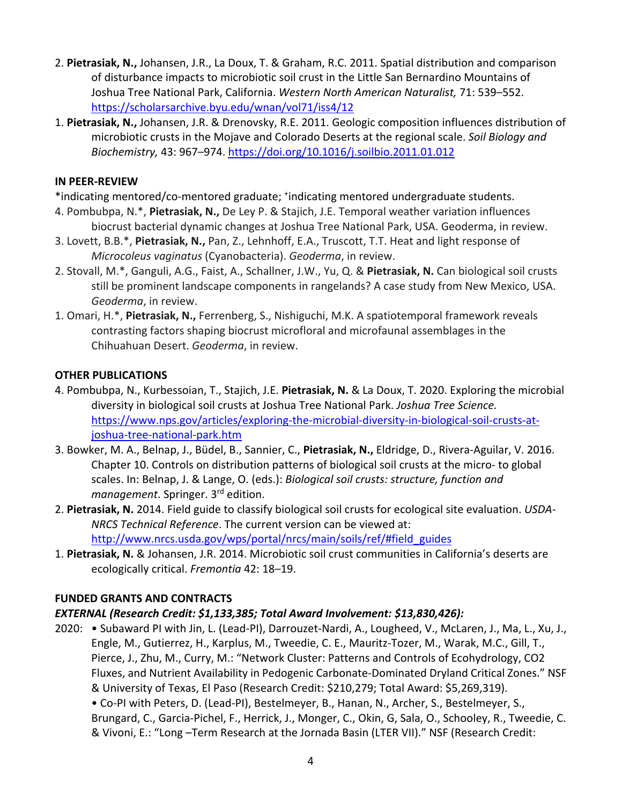- 2. **Pietrasiak, N.,** Johansen, J.R., La Doux, T. & Graham, R.C. 2011. Spatial distribution and comparison of disturbance impacts to microbiotic soil crust in the Little San Bernardino Mountains of Joshua Tree National Park, California. *Western North American Naturalist,* 71: 539–552. https://scholarsarchive.byu.edu/wnan/vol71/iss4/12
- 1. **Pietrasiak, N.,** Johansen, J.R. & Drenovsky, R.E. 2011. Geologic composition influences distribution of microbiotic crusts in the Mojave and Colorado Deserts at the regional scale. *Soil Biology and Biochemistry,* 43: 967–974. https://doi.org/10.1016/j.soilbio.2011.01.012

#### **IN PEER-REVIEW**

- \*indicating mentored/co-mentored graduate; \*indicating mentored undergraduate students.
- 4. Pombubpa, N.\*, **Pietrasiak, N.,** De Ley P. & Stajich, J.E. Temporal weather variation influences biocrust bacterial dynamic changes at Joshua Tree National Park, USA. Geoderma, in review.
- 3. Lovett, B.B.\*, **Pietrasiak, N.,** Pan, Z., Lehnhoff, E.A., Truscott, T.T. Heat and light response of *Microcoleus vaginatus* (Cyanobacteria). *Geoderma*, in review.
- 2. Stovall, M.\*, Ganguli, A.G., Faist, A., Schallner, J.W., Yu, Q. & **Pietrasiak, N.** Can biological soil crusts still be prominent landscape components in rangelands? A case study from New Mexico, USA. *Geoderma*, in review.
- 1. Omari, H.\*, **Pietrasiak, N.,** Ferrenberg, S., Nishiguchi, M.K. A spatiotemporal framework reveals contrasting factors shaping biocrust microfloral and microfaunal assemblages in the Chihuahuan Desert. *Geoderma*, in review.

## **OTHER PUBLICATIONS**

- 4. Pombubpa, N., Kurbessoian, T., Stajich, J.E. **Pietrasiak, N.** & La Doux, T. 2020. Exploring the microbial diversity in biological soil crusts at Joshua Tree National Park. *Joshua Tree Science.* https://www.nps.gov/articles/exploring-the-microbial-diversity-in-biological-soil-crusts-atjoshua-tree-national-park.htm
- 3. Bowker, M. A., Belnap, J., Büdel, B., Sannier, C., **Pietrasiak, N.,** Eldridge, D., Rivera-Aguilar, V. 2016. Chapter 10. Controls on distribution patterns of biological soil crusts at the micro- to global scales. In: Belnap, J. & Lange, O. (eds.): *Biological soil crusts: structure, function and management*. Springer. 3rd edition.
- 2. **Pietrasiak, N.** 2014. Field guide to classify biological soil crusts for ecological site evaluation. *USDA-NRCS Technical Reference*. The current version can be viewed at: http://www.nrcs.usda.gov/wps/portal/nrcs/main/soils/ref/#field\_guides
- 1. **Pietrasiak, N.** & Johansen, J.R. 2014. Microbiotic soil crust communities in California's deserts are ecologically critical. *Fremontia* 42: 18–19.

## **FUNDED GRANTS AND CONTRACTS**

## *EXTERNAL (Research Credit: \$1,133,385; Total Award Involvement: \$13,830,426):*

2020: • Subaward PI with Jin, L. (Lead-PI), Darrouzet-Nardi, A., Lougheed, V., McLaren, J., Ma, L., Xu, J., Engle, M., Gutierrez, H., Karplus, M., Tweedie, C. E., Mauritz-Tozer, M., Warak, M.C., Gill, T., Pierce, J., Zhu, M., Curry, M.: "Network Cluster: Patterns and Controls of Ecohydrology, CO2 Fluxes, and Nutrient Availability in Pedogenic Carbonate-Dominated Dryland Critical Zones." NSF & University of Texas, El Paso (Research Credit: \$210,279; Total Award: \$5,269,319). • Co-PI with Peters, D. (Lead-PI), Bestelmeyer, B., Hanan, N., Archer, S., Bestelmeyer, S., Brungard, C., Garcia-Pichel, F., Herrick, J., Monger, C., Okin, G, Sala, O., Schooley, R., Tweedie, C. & Vivoni, E.: "Long –Term Research at the Jornada Basin (LTER VII)." NSF (Research Credit: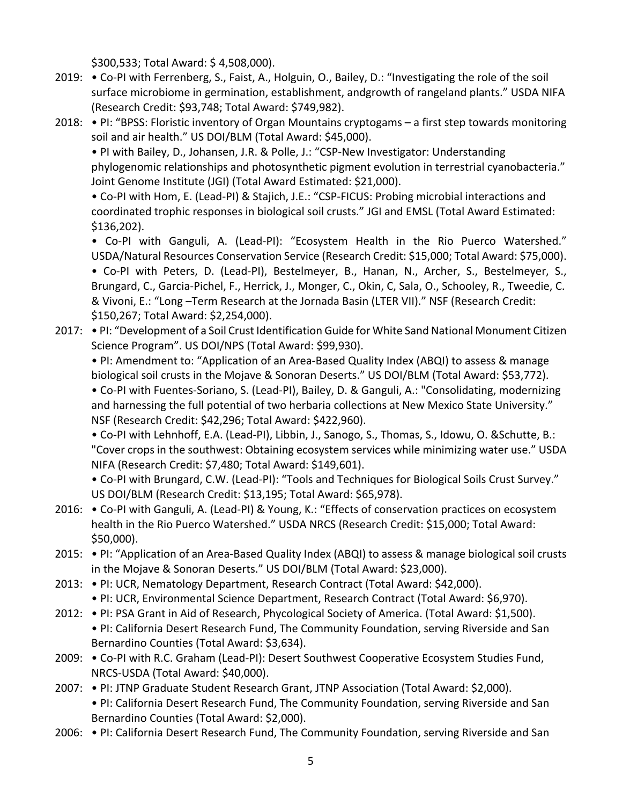\$300,533; Total Award: \$ 4,508,000).

- 2019: Co-PI with Ferrenberg, S., Faist, A., Holguin, O., Bailey, D.: "Investigating the role of the soil surface microbiome in germination, establishment, andgrowth of rangeland plants." USDA NIFA (Research Credit: \$93,748; Total Award: \$749,982).
- 2018: PI: "BPSS: Floristic inventory of Organ Mountains cryptogams a first step towards monitoring soil and air health." US DOI/BLM (Total Award: \$45,000).

• PI with Bailey, D., Johansen, J.R. & Polle, J.: "CSP-New Investigator: Understanding phylogenomic relationships and photosynthetic pigment evolution in terrestrial cyanobacteria." Joint Genome Institute (JGI) (Total Award Estimated: \$21,000).

• Co-PI with Hom, E. (Lead-PI) & Stajich, J.E.: "CSP-FICUS: Probing microbial interactions and coordinated trophic responses in biological soil crusts." JGI and EMSL (Total Award Estimated: \$136,202).

• Co-PI with Ganguli, A. (Lead-PI): "Ecosystem Health in the Rio Puerco Watershed." USDA/Natural Resources Conservation Service (Research Credit: \$15,000; Total Award: \$75,000).

• Co-PI with Peters, D. (Lead-PI), Bestelmeyer, B., Hanan, N., Archer, S., Bestelmeyer, S., Brungard, C., Garcia-Pichel, F., Herrick, J., Monger, C., Okin, C, Sala, O., Schooley, R., Tweedie, C. & Vivoni, E.: "Long –Term Research at the Jornada Basin (LTER VII)." NSF (Research Credit: \$150,267; Total Award: \$2,254,000).

2017: • PI: "Development of a Soil Crust Identification Guide for White Sand National Monument Citizen Science Program". US DOI/NPS (Total Award: \$99,930).

• PI: Amendment to: "Application of an Area-Based Quality Index (ABQI) to assess & manage biological soil crusts in the Mojave & Sonoran Deserts." US DOI/BLM (Total Award: \$53,772).

• Co-PI with Fuentes-Soriano, S. (Lead-PI), Bailey, D. & Ganguli, A.: "Consolidating, modernizing and harnessing the full potential of two herbaria collections at New Mexico State University." NSF (Research Credit: \$42,296; Total Award: \$422,960).

• Co-PI with Lehnhoff, E.A. (Lead-PI), Libbin, J., Sanogo, S., Thomas, S., Idowu, O. &Schutte, B.: "Cover crops in the southwest: Obtaining ecosystem services while minimizing water use." USDA NIFA (Research Credit: \$7,480; Total Award: \$149,601).

• Co-PI with Brungard, C.W. (Lead-PI): "Tools and Techniques for Biological Soils Crust Survey." US DOI/BLM (Research Credit: \$13,195; Total Award: \$65,978).

- 2016: Co-PI with Ganguli, A. (Lead-PI) & Young, K.: "Effects of conservation practices on ecosystem health in the Rio Puerco Watershed." USDA NRCS (Research Credit: \$15,000; Total Award: \$50,000).
- 2015: PI: "Application of an Area-Based Quality Index (ABQI) to assess & manage biological soil crusts in the Mojave & Sonoran Deserts." US DOI/BLM (Total Award: \$23,000).
- 2013: PI: UCR, Nematology Department, Research Contract (Total Award: \$42,000).
	- PI: UCR, Environmental Science Department, Research Contract (Total Award: \$6,970).
- 2012: PI: PSA Grant in Aid of Research, Phycological Society of America. (Total Award: \$1,500). • PI: California Desert Research Fund, The Community Foundation, serving Riverside and San Bernardino Counties (Total Award: \$3,634).
- 2009: Co-PI with R.C. Graham (Lead-PI): Desert Southwest Cooperative Ecosystem Studies Fund, NRCS-USDA (Total Award: \$40,000).
- 2007: PI: JTNP Graduate Student Research Grant, JTNP Association (Total Award: \$2,000). • PI: California Desert Research Fund, The Community Foundation, serving Riverside and San Bernardino Counties (Total Award: \$2,000).
- 2006: PI: California Desert Research Fund, The Community Foundation, serving Riverside and San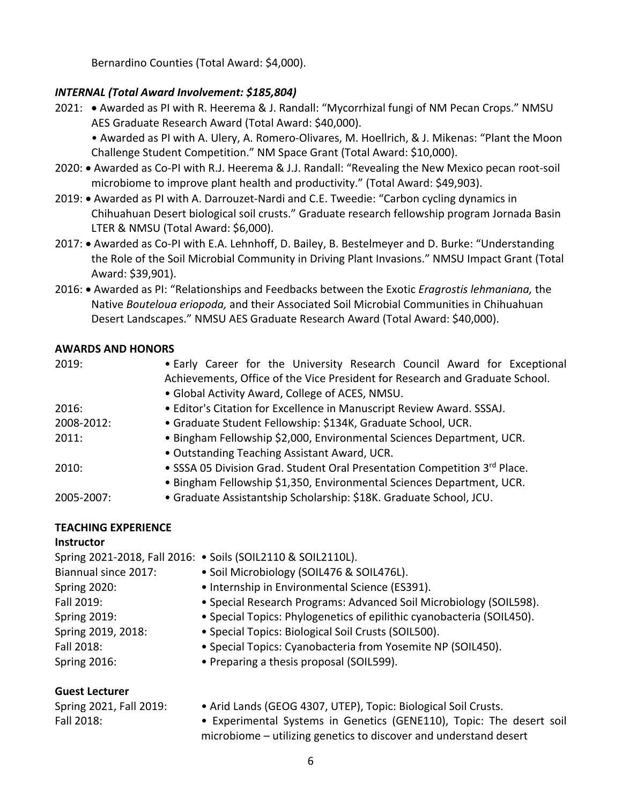Bernardino Counties (Total Award: \$4,000).

### *INTERNAL (Total Award Involvement: \$185,804)*

- 2021: Awarded as PI with R. Heerema & J. Randall: "Mycorrhizal fungi of NM Pecan Crops." NMSU AES Graduate Research Award (Total Award: \$40,000).
	- Awarded as PI with A. Ulery, A. Romero-Olivares, M. Hoellrich, & J. Mikenas: "Plant the Moon Challenge Student Competition." NM Space Grant (Total Award: \$10,000).
- 2020: Awarded as Co-PI with R.J. Heerema & J.J. Randall: "Revealing the New Mexico pecan root-soil microbiome to improve plant health and productivity." (Total Award: \$49,903).
- 2019: Awarded as PI with A. Darrouzet-Nardi and C.E. Tweedie: "Carbon cycling dynamics in Chihuahuan Desert biological soil crusts." Graduate research fellowship program Jornada Basin LTER & NMSU (Total Award: \$6,000).
- 2017: Awarded as Co-PI with E.A. Lehnhoff, D. Bailey, B. Bestelmeyer and D. Burke: "Understanding the Role of the Soil Microbial Community in Driving Plant Invasions." NMSU Impact Grant (Total Award: \$39,901).
- 2016: Awarded as PI: "Relationships and Feedbacks between the Exotic *Eragrostis lehmaniana,* the Native *Bouteloua eriopoda,* and their Associated Soil Microbial Communities in Chihuahuan Desert Landscapes." NMSU AES Graduate Research Award (Total Award: \$40,000).

#### **AWARDS AND HONORS**

| 2019:      | . Early Career for the University Research Council Award for Exceptional     |
|------------|------------------------------------------------------------------------------|
|            | Achievements, Office of the Vice President for Research and Graduate School. |
|            | • Global Activity Award, College of ACES, NMSU.                              |
| 2016:      | • Editor's Citation for Excellence in Manuscript Review Award. SSSAJ.        |
| 2008-2012: | · Graduate Student Fellowship: \$134K, Graduate School, UCR.                 |
| 2011:      | · Bingham Fellowship \$2,000, Environmental Sciences Department, UCR.        |
|            | • Outstanding Teaching Assistant Award, UCR.                                 |
| 2010:      | • SSSA 05 Division Grad. Student Oral Presentation Competition 3rd Place.    |
|            | . Bingham Fellowship \$1,350, Environmental Sciences Department, UCR.        |
| 2005-2007: | · Graduate Assistantship Scholarship: \$18K. Graduate School, JCU.           |
|            |                                                                              |

## **TEACHING EXPERIENCE**

## **Instructor**

|                         | Spring 2021-2018, Fall 2016: • Soils (SOIL2110 & SOIL2110L).          |
|-------------------------|-----------------------------------------------------------------------|
| Biannual since 2017:    | • Soil Microbiology (SOIL476 & SOIL476L).                             |
| <b>Spring 2020:</b>     | • Internship in Environmental Science (ES391).                        |
| Fall 2019:              | • Special Research Programs: Advanced Soil Microbiology (SOIL598).    |
| <b>Spring 2019:</b>     | • Special Topics: Phylogenetics of epilithic cyanobacteria (SOIL450). |
| Spring 2019, 2018:      | • Special Topics: Biological Soil Crusts (SOIL500).                   |
| Fall 2018:              | • Special Topics: Cyanobacteria from Yosemite NP (SOIL450).           |
| <b>Spring 2016:</b>     | • Preparing a thesis proposal (SOIL599).                              |
| <b>Guest Lecturer</b>   |                                                                       |
| Spring 2021, Fall 2019: | · Arid Lands (GEOG 4307, UTEP), Topic: Biological Soil Crusts.        |

| Spring 2021, Fall 2019: | $\bullet$ Arid Lands (GEOG 4307, UTEP), Topic: B |
|-------------------------|--------------------------------------------------|
| Fall 2018:              | • Experimental Systems in Genetics (G            |

ENE110), Topic: The desert soil microbiome – utilizing genetics to discover and understand desert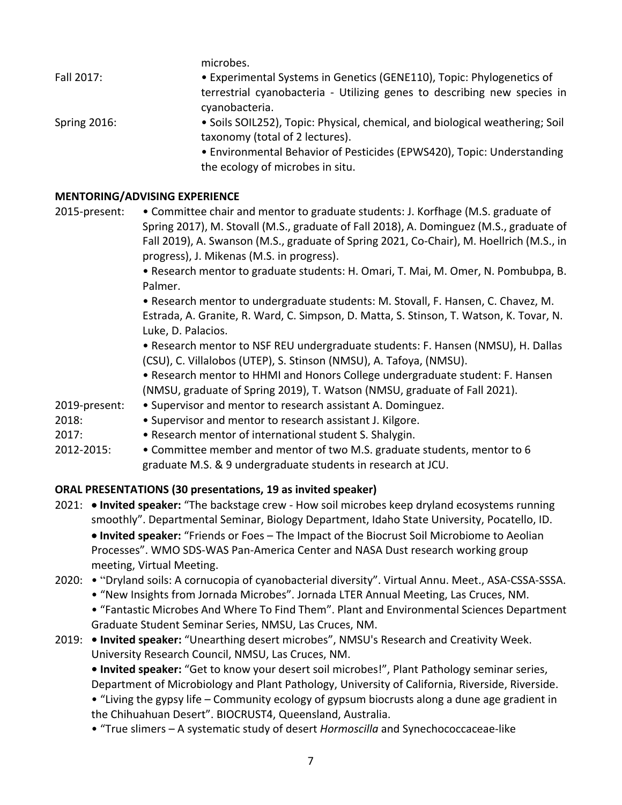microbes. Fall 2017: • **•** Experimental Systems in Genetics (GENE110), Topic: Phylogenetics of terrestrial cyanobacteria - Utilizing genes to describing new species in cyanobacteria. Spring 2016: • Soils SOIL252), Topic: Physical, chemical, and biological weathering; Soil taxonomy (total of 2 lectures). • Environmental Behavior of Pesticides (EPWS420), Topic: Understanding the ecology of microbes in situ.

### **MENTORING/ADVISING EXPERIENCE**

2015-present: . Committee chair and mentor to graduate students: J. Korfhage (M.S. graduate of Spring 2017), M. Stovall (M.S., graduate of Fall 2018), A. Dominguez (M.S., graduate of Fall 2019), A. Swanson (M.S., graduate of Spring 2021, Co-Chair), M. Hoellrich (M.S., in progress), J. Mikenas (M.S. in progress).

> • Research mentor to graduate students: H. Omari, T. Mai, M. Omer, N. Pombubpa, B. Palmer.

> • Research mentor to undergraduate students: M. Stovall, F. Hansen, C. Chavez, M. Estrada, A. Granite, R. Ward, C. Simpson, D. Matta, S. Stinson, T. Watson, K. Tovar, N. Luke, D. Palacios.

> • Research mentor to NSF REU undergraduate students: F. Hansen (NMSU), H. Dallas (CSU), C. Villalobos (UTEP), S. Stinson (NMSU), A. Tafoya, (NMSU).

• Research mentor to HHMI and Honors College undergraduate student: F. Hansen (NMSU, graduate of Spring 2019), T. Watson (NMSU, graduate of Fall 2021).

- 2019-present: Supervisor and mentor to research assistant A. Dominguez.
- 2018: Supervisor and mentor to research assistant J. Kilgore.
- 2017: Research mentor of international student S. Shalygin.
- 2012-2015: Committee member and mentor of two M.S. graduate students, mentor to 6 graduate M.S. & 9 undergraduate students in research at JCU.

## **ORAL PRESENTATIONS (30 presentations, 19 as invited speaker)**

- 2021: **Invited speaker:** "The backstage crew How soil microbes keep dryland ecosystems running smoothly". Departmental Seminar, Biology Department, Idaho State University, Pocatello, ID. • **Invited speaker:** "Friends or Foes – The Impact of the Biocrust Soil Microbiome to Aeolian Processes". WMO SDS-WAS Pan-America Center and NASA Dust research working group meeting, Virtual Meeting.
- 2020: "Dryland soils: A cornucopia of cyanobacterial diversity". Virtual Annu. Meet., ASA-CSSA-SSSA.
	- "New Insights from Jornada Microbes". Jornada LTER Annual Meeting, Las Cruces, NM.

• "Fantastic Microbes And Where To Find Them". Plant and Environmental Sciences Department Graduate Student Seminar Series, NMSU, Las Cruces, NM.

# 2019: **• Invited speaker:** "Unearthing desert microbes", NMSU's Research and Creativity Week. University Research Council, NMSU, Las Cruces, NM.

**• Invited speaker:** "Get to know your desert soil microbes!", Plant Pathology seminar series, Department of Microbiology and Plant Pathology, University of California, Riverside, Riverside.

• "Living the gypsy life – Community ecology of gypsum biocrusts along a dune age gradient in the Chihuahuan Desert". BIOCRUST4, Queensland, Australia.

• "True slimers – A systematic study of desert *Hormoscilla* and Synechococcaceae-like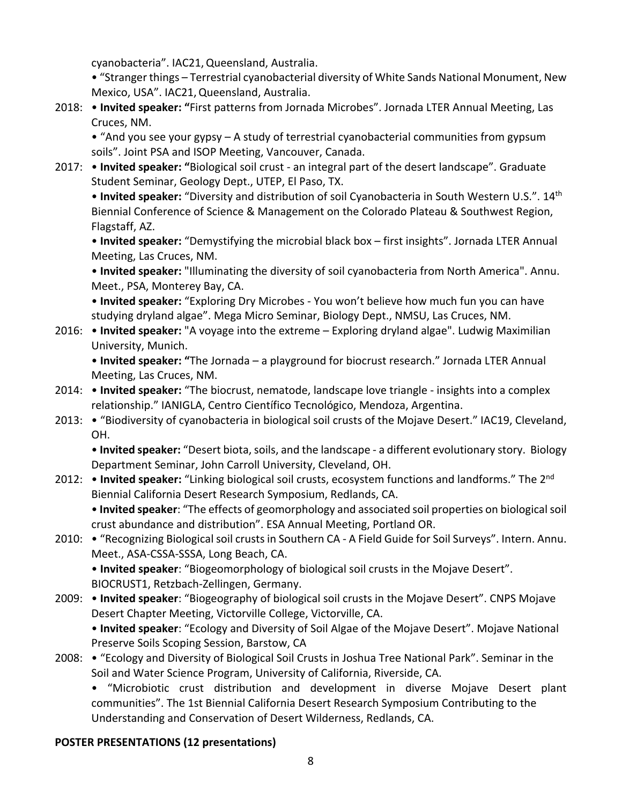cyanobacteria". IAC21,Queensland, Australia.

• "Stranger things – Terrestrial cyanobacterial diversity of White Sands National Monument, New Mexico, USA". IAC21,Queensland, Australia.

2018: • **Invited speaker: "**First patterns from Jornada Microbes". Jornada LTER Annual Meeting, Las Cruces, NM.

• "And you see your gypsy – A study of terrestrial cyanobacterial communities from gypsum soils". Joint PSA and ISOP Meeting, Vancouver, Canada.

2017: • **Invited speaker: "**Biological soil crust - an integral part of the desert landscape". Graduate Student Seminar, Geology Dept., UTEP, El Paso, TX.

• **Invited speaker:** "Diversity and distribution of soil Cyanobacteria in South Western U.S.". 14th Biennial Conference of Science & Management on the Colorado Plateau & Southwest Region, Flagstaff, AZ.

• **Invited speaker:** "Demystifying the microbial black box – first insights". Jornada LTER Annual Meeting, Las Cruces, NM.

• **Invited speaker:** "Illuminating the diversity of soil cyanobacteria from North America". Annu. Meet., PSA, Monterey Bay, CA.

• **Invited speaker:** "Exploring Dry Microbes - You won't believe how much fun you can have studying dryland algae". Mega Micro Seminar, Biology Dept., NMSU, Las Cruces, NM.

2016: • **Invited speaker:** "A voyage into the extreme – Exploring dryland algae". Ludwig Maximilian University, Munich.

• **Invited speaker: "**The Jornada – a playground for biocrust research." Jornada LTER Annual Meeting, Las Cruces, NM.

- 2014: **Invited speaker:** "The biocrust, nematode, landscape love triangle insights into a complex relationship." IANIGLA, Centro Científico Tecnológico, Mendoza, Argentina.
- 2013: "Biodiversity of cyanobacteria in biological soil crusts of the Mojave Desert." IAC19, Cleveland, OH.

• **Invited speaker:** "Desert biota, soils, and the landscape - a different evolutionary story. Biology Department Seminar, John Carroll University, Cleveland, OH.

2012: • **Invited speaker:** "Linking biological soil crusts, ecosystem functions and landforms." The 2nd Biennial California Desert Research Symposium, Redlands, CA.

• **Invited speaker**: "The effects of geomorphology and associated soil properties on biological soil crust abundance and distribution". ESA Annual Meeting, Portland OR.

2010: • "Recognizing Biological soil crusts in Southern CA - A Field Guide for Soil Surveys". Intern. Annu. Meet., ASA-CSSA-SSSA, Long Beach, CA.

• **Invited speaker**: "Biogeomorphology of biological soil crusts in the Mojave Desert". BIOCRUST1, Retzbach-Zellingen, Germany.

2009: • **Invited speaker**: "Biogeography of biological soil crusts in the Mojave Desert". CNPS Mojave Desert Chapter Meeting, Victorville College, Victorville, CA. • **Invited speaker**: "Ecology and Diversity of Soil Algae of the Mojave Desert". Mojave National

Preserve Soils Scoping Session, Barstow, CA

2008: • "Ecology and Diversity of Biological Soil Crusts in Joshua Tree National Park". Seminar in the Soil and Water Science Program, University of California, Riverside, CA.

• "Microbiotic crust distribution and development in diverse Mojave Desert plant communities". The 1st Biennial California Desert Research Symposium Contributing to the Understanding and Conservation of Desert Wilderness, Redlands, CA.

# **POSTER PRESENTATIONS (12 presentations)**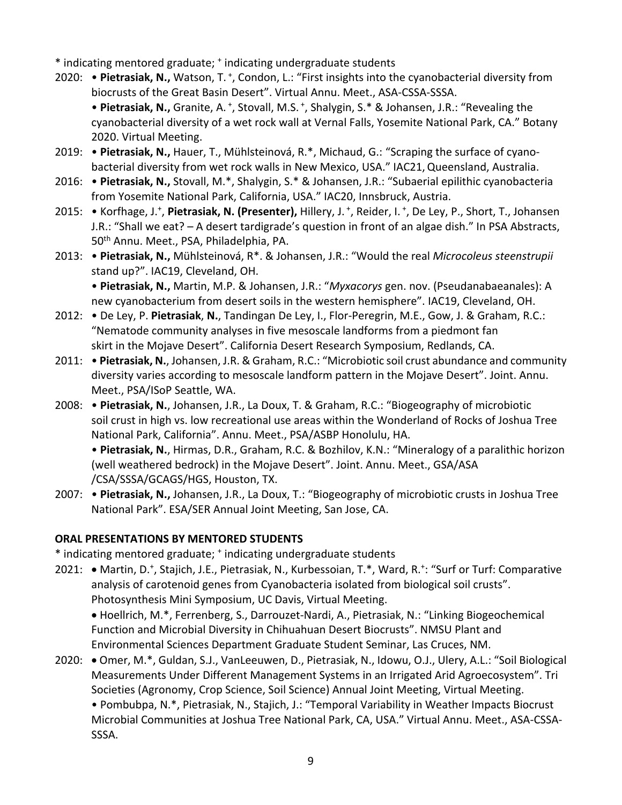\* indicating mentored graduate; + indicating undergraduate students

- 2020: Pietrasiak, N., Watson, T.<sup>+</sup>, Condon, L.: "First insights into the cyanobacterial diversity from biocrusts of the Great Basin Desert". Virtual Annu. Meet., ASA-CSSA-SSSA. • Pietrasiak, N., Granite, A.<sup>+</sup>, Stovall, M.S.<sup>+</sup>, Shalygin, S.\* & Johansen, J.R.: "Revealing the cyanobacterial diversity of a wet rock wall at Vernal Falls, Yosemite National Park, CA." Botany 2020. Virtual Meeting.
- 2019: **Pietrasiak, N.,** Hauer, T., Mühlsteinová, R.\*, Michaud, G.: "Scraping the surface of cyanobacterial diversity from wet rock walls in New Mexico, USA." IAC21,Queensland, Australia.
- 2016: **Pietrasiak, N.,** Stovall, M.\*, Shalygin, S.\* & Johansen, J.R.: "Subaerial epilithic cyanobacteria from Yosemite National Park, California, USA." IAC20, Innsbruck, Austria.
- 2015: Korfhage, J.<sup>+</sup>, Pietrasiak, N. (Presenter), Hillery, J.<sup>+</sup>, Reider, I.<sup>+</sup>, De Ley, P., Short, T., Johansen J.R.: "Shall we eat? – A desert tardigrade's question in front of an algae dish." In PSA Abstracts, 50<sup>th</sup> Annu. Meet., PSA, Philadelphia, PA.
- 2013: **Pietrasiak, N.,** Mühlsteinová, R\*. & Johansen, J.R.: "Would the real *Microcoleus steenstrupii* stand up?". IAC19, Cleveland, OH. • **Pietrasiak, N.,** Martin, M.P. & Johansen, J.R.: "*Myxacorys* gen. nov. (Pseudanabaeanales): A

new cyanobacterium from desert soils in the western hemisphere". IAC19, Cleveland, OH.

- 2012: De Ley, P. **Pietrasiak**, **N.**, Tandingan De Ley, I., Flor-Peregrin, M.E., Gow, J. & Graham, R.C.: "Nematode community analyses in five mesoscale landforms from a piedmont fan skirt in the Mojave Desert". California Desert Research Symposium, Redlands, CA.
- 2011: **Pietrasiak, N.**, Johansen, J.R. & Graham, R.C.: "Microbiotic soil crust abundance and community diversity varies according to mesoscale landform pattern in the Mojave Desert". Joint. Annu. Meet., PSA/ISoP Seattle, WA.
- 2008: **Pietrasiak, N.**, Johansen, J.R., La Doux, T. & Graham, R.C.: "Biogeography of microbiotic soil crust in high vs. low recreational use areas within the Wonderland of Rocks of Joshua Tree National Park, California". Annu. Meet., PSA/ASBP Honolulu, HA.

• **Pietrasiak, N.**, Hirmas, D.R., Graham, R.C. & Bozhilov, K.N.: "Mineralogy of a paralithic horizon (well weathered bedrock) in the Mojave Desert". Joint. Annu. Meet., GSA/ASA /CSA/SSSA/GCAGS/HGS, Houston, TX.

2007: • **Pietrasiak, N.,** Johansen, J.R., La Doux, T.: "Biogeography of microbiotic crusts in Joshua Tree National Park". ESA/SER Annual Joint Meeting, San Jose, CA.

## **ORAL PRESENTATIONS BY MENTORED STUDENTS**

\* indicating mentored graduate; + indicating undergraduate students

2021: • Martin, D.<sup>+</sup>, Stajich, J.E., Pietrasiak, N., Kurbessoian, T.\*, Ward, R.<sup>+</sup>: "Surf or Turf: Comparative analysis of carotenoid genes from Cyanobacteria isolated from biological soil crusts". Photosynthesis Mini Symposium, UC Davis, Virtual Meeting.

• Hoellrich, M.\*, Ferrenberg, S., Darrouzet-Nardi, A., Pietrasiak, N.: "Linking Biogeochemical Function and Microbial Diversity in Chihuahuan Desert Biocrusts". NMSU Plant and Environmental Sciences Department Graduate Student Seminar, Las Cruces, NM.

2020: • Omer, M.\*, Guldan, S.J., VanLeeuwen, D., Pietrasiak, N., Idowu, O.J., Ulery, A.L.: "Soil Biological Measurements Under Different Management Systems in an Irrigated Arid Agroecosystem". Tri Societies (Agronomy, Crop Science, Soil Science) Annual Joint Meeting, Virtual Meeting. • Pombubpa, N.\*, Pietrasiak, N., Stajich, J.: "Temporal Variability in Weather Impacts Biocrust Microbial Communities at Joshua Tree National Park, CA, USA." Virtual Annu. Meet., ASA-CSSA-SSSA.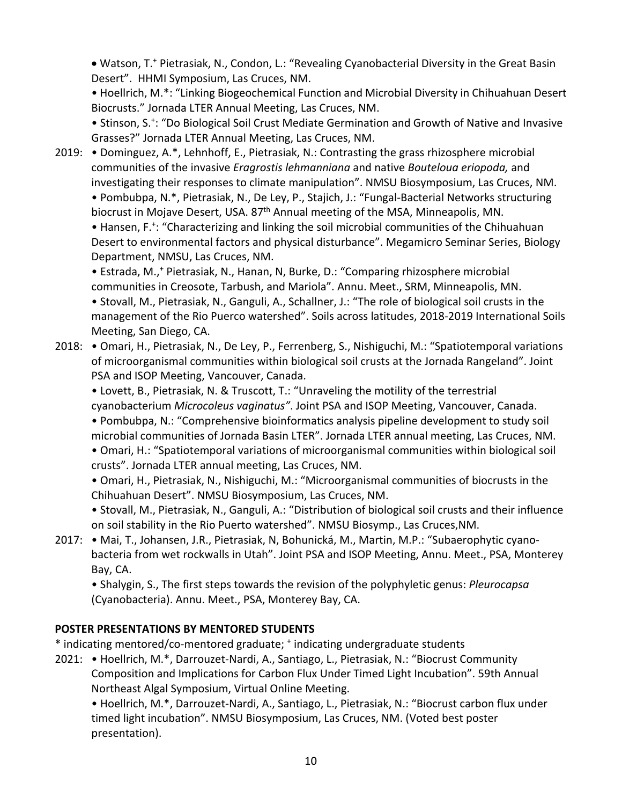• Watson, T.+ Pietrasiak, N., Condon, L.: "Revealing Cyanobacterial Diversity in the Great Basin Desert". HHMI Symposium, Las Cruces, NM.

• Hoellrich, M.\*: "Linking Biogeochemical Function and Microbial Diversity in Chihuahuan Desert Biocrusts." Jornada LTER Annual Meeting, Las Cruces, NM.

• Stinson, S.<sup>+</sup>: "Do Biological Soil Crust Mediate Germination and Growth of Native and Invasive Grasses?" Jornada LTER Annual Meeting, Las Cruces, NM.

2019: • Dominguez, A.\*, Lehnhoff, E., Pietrasiak, N.: Contrasting the grass rhizosphere microbial communities of the invasive *Eragrostis lehmanniana* and native *Bouteloua eriopoda,* and investigating their responses to climate manipulation". NMSU Biosymposium, Las Cruces, NM.

• Pombubpa, N.\*, Pietrasiak, N., De Ley, P., Stajich, J.: "Fungal-Bacterial Networks structuring biocrust in Mojave Desert, USA. 87<sup>th</sup> Annual meeting of the MSA, Minneapolis, MN. • Hansen, F.<sup>+</sup>: "Characterizing and linking the soil microbial communities of the Chihuahuan Desert to environmental factors and physical disturbance". Megamicro Seminar Series, Biology Department, NMSU, Las Cruces, NM.

• Estrada, M.,<sup>+</sup> Pietrasiak, N., Hanan, N, Burke, D.: "Comparing rhizosphere microbial communities in Creosote, Tarbush, and Mariola". Annu. Meet., SRM, Minneapolis, MN. • Stovall, M., Pietrasiak, N., Ganguli, A., Schallner, J.: "The role of biological soil crusts in the management of the Rio Puerco watershed". Soils across latitudes, 2018-2019 International Soils Meeting, San Diego, CA.

2018: . Omari, H., Pietrasiak, N., De Ley, P., Ferrenberg, S., Nishiguchi, M.: "Spatiotemporal variations of microorganismal communities within biological soil crusts at the Jornada Rangeland". Joint PSA and ISOP Meeting, Vancouver, Canada.

• Lovett, B., Pietrasiak, N. & Truscott, T.: "Unraveling the motility of the terrestrial cyanobacterium *Microcoleus vaginatus"*. Joint PSA and ISOP Meeting, Vancouver, Canada. • Pombubpa, N.: "Comprehensive bioinformatics analysis pipeline development to study soil

microbial communities of Jornada Basin LTER". Jornada LTER annual meeting, Las Cruces, NM. • Omari, H.: "Spatiotemporal variations of microorganismal communities within biological soil

crusts". Jornada LTER annual meeting, Las Cruces, NM.

• Omari, H., Pietrasiak, N., Nishiguchi, M.: "Microorganismal communities of biocrusts in the Chihuahuan Desert". NMSU Biosymposium, Las Cruces, NM.

• Stovall, M., Pietrasiak, N., Ganguli, A.: "Distribution of biological soil crusts and their influence on soil stability in the Rio Puerto watershed". NMSU Biosymp., Las Cruces,NM.

2017: • Mai, T., Johansen, J.R., Pietrasiak, N, Bohunická, M., Martin, M.P.: "Subaerophytic cyanobacteria from wet rockwalls in Utah". Joint PSA and ISOP Meeting, Annu. Meet., PSA, Monterey Bay, CA.

• Shalygin, S., The first steps towards the revision of the polyphyletic genus: *Pleurocapsa* (Cyanobacteria). Annu. Meet., PSA, Monterey Bay, CA.

# **POSTER PRESENTATIONS BY MENTORED STUDENTS**

\* indicating mentored/co-mentored graduate; + indicating undergraduate students

2021: • Hoellrich, M.\*, Darrouzet-Nardi, A., Santiago, L., Pietrasiak, N.: "Biocrust Community Composition and Implications for Carbon Flux Under Timed Light Incubation". 59th Annual Northeast Algal Symposium, Virtual Online Meeting.

• Hoellrich, M.\*, Darrouzet-Nardi, A., Santiago, L., Pietrasiak, N.: "Biocrust carbon flux under timed light incubation". NMSU Biosymposium, Las Cruces, NM. (Voted best poster presentation).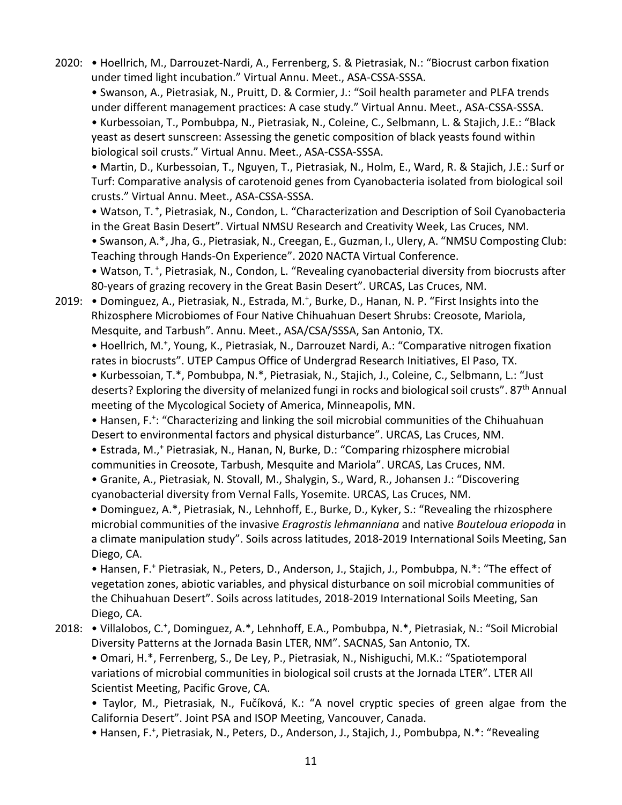2020: • Hoellrich, M., Darrouzet-Nardi, A., Ferrenberg, S. & Pietrasiak, N.: "Biocrust carbon fixation under timed light incubation." Virtual Annu. Meet., ASA-CSSA-SSSA.

• Swanson, A., Pietrasiak, N., Pruitt, D. & Cormier, J.: "Soil health parameter and PLFA trends under different management practices: A case study." Virtual Annu. Meet., ASA-CSSA-SSSA.

• Kurbessoian, T., Pombubpa, N., Pietrasiak, N., Coleine, C., Selbmann, L. & Stajich, J.E.: "Black yeast as desert sunscreen: Assessing the genetic composition of black yeasts found within biological soil crusts." Virtual Annu. Meet., ASA-CSSA-SSSA.

• Martin, D., Kurbessoian, T., Nguyen, T., Pietrasiak, N., Holm, E., Ward, R. & Stajich, J.E.: Surf or Turf: Comparative analysis of carotenoid genes from Cyanobacteria isolated from biological soil crusts." Virtual Annu. Meet., ASA-CSSA-SSSA.

• Watson, T.<sup>+</sup>, Pietrasiak, N., Condon, L. "Characterization and Description of Soil Cyanobacteria in the Great Basin Desert". Virtual NMSU Research and Creativity Week, Las Cruces, NM.

• Swanson, A.\*, Jha, G., Pietrasiak, N., Creegan, E., Guzman, I., Ulery, A. "NMSU Composting Club: Teaching through Hands-On Experience". 2020 NACTA Virtual Conference.

· Watson, T.<sup>+</sup>, Pietrasiak, N., Condon, L. "Revealing cyanobacterial diversity from biocrusts after 80-years of grazing recovery in the Great Basin Desert". URCAS, Las Cruces, NM.

2019: • Dominguez, A., Pietrasiak, N., Estrada, M.<sup>+</sup>, Burke, D., Hanan, N. P. "First Insights into the Rhizosphere Microbiomes of Four Native Chihuahuan Desert Shrubs: Creosote, Mariola, Mesquite, and Tarbush". Annu. Meet., ASA/CSA/SSSA, San Antonio, TX.

• Hoellrich, M.<sup>+</sup>, Young, K., Pietrasiak, N., Darrouzet Nardi, A.: "Comparative nitrogen fixation rates in biocrusts". UTEP Campus Office of Undergrad Research Initiatives, El Paso, TX.

• Kurbessoian, T.\*, Pombubpa, N.\*, Pietrasiak, N., Stajich, J., Coleine, C., Selbmann, L.: "Just deserts? Exploring the diversity of melanized fungi in rocks and biological soil crusts". 87<sup>th</sup> Annual meeting of the Mycological Society of America, Minneapolis, MN.

• Hansen, F.<sup>+</sup>: "Characterizing and linking the soil microbial communities of the Chihuahuan Desert to environmental factors and physical disturbance". URCAS, Las Cruces, NM.

• Estrada, M.,+ Pietrasiak, N., Hanan, N, Burke, D.: "Comparing rhizosphere microbial

communities in Creosote, Tarbush, Mesquite and Mariola". URCAS, Las Cruces, NM.

• Granite, A., Pietrasiak, N. Stovall, M., Shalygin, S., Ward, R., Johansen J.: "Discovering cyanobacterial diversity from Vernal Falls, Yosemite. URCAS, Las Cruces, NM.

• Dominguez, A.\*, Pietrasiak, N., Lehnhoff, E., Burke, D., Kyker, S.: "Revealing the rhizosphere microbial communities of the invasive *Eragrostis lehmanniana* and native *Bouteloua eriopoda* in a climate manipulation study". Soils across latitudes, 2018-2019 International Soils Meeting, San Diego, CA.

• Hansen, F.+ Pietrasiak, N., Peters, D., Anderson, J., Stajich, J., Pombubpa, N.\*: "The effect of vegetation zones, abiotic variables, and physical disturbance on soil microbial communities of the Chihuahuan Desert". Soils across latitudes, 2018-2019 International Soils Meeting, San Diego, CA.

## 2018: • Villalobos, C.<sup>+</sup>, Dominguez, A.\*, Lehnhoff, E.A., Pombubpa, N.\*, Pietrasiak, N.: "Soil Microbial Diversity Patterns at the Jornada Basin LTER, NM". SACNAS, San Antonio, TX.

• Omari, H.\*, Ferrenberg, S., De Ley, P., Pietrasiak, N., Nishiguchi, M.K.: "Spatiotemporal variations of microbial communities in biological soil crusts at the Jornada LTER". LTER All Scientist Meeting, Pacific Grove, CA.

• Taylor, M., Pietrasiak, N., Fučíková, K.: "A novel cryptic species of green algae from the California Desert". Joint PSA and ISOP Meeting, Vancouver, Canada.

• Hansen, F.<sup>+</sup>, Pietrasiak, N., Peters, D., Anderson, J., Stajich, J., Pombubpa, N.\*: "Revealing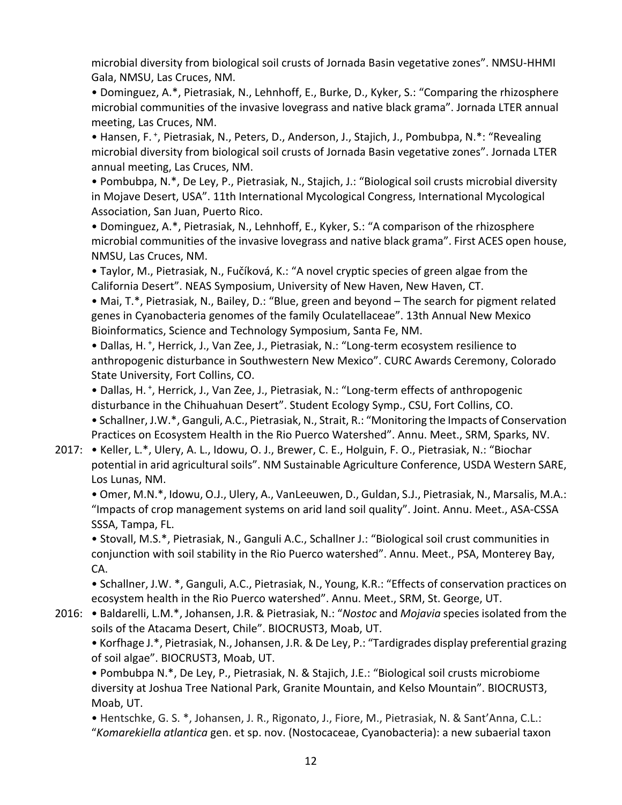microbial diversity from biological soil crusts of Jornada Basin vegetative zones". NMSU-HHMI Gala, NMSU, Las Cruces, NM.

• Dominguez, A.\*, Pietrasiak, N., Lehnhoff, E., Burke, D., Kyker, S.: "Comparing the rhizosphere microbial communities of the invasive lovegrass and native black grama". Jornada LTER annual meeting, Las Cruces, NM.

• Hansen, F.<sup>+</sup>, Pietrasiak, N., Peters, D., Anderson, J., Stajich, J., Pombubpa, N.\*: "Revealing microbial diversity from biological soil crusts of Jornada Basin vegetative zones". Jornada LTER annual meeting, Las Cruces, NM.

• Pombubpa, N.\*, De Ley, P., Pietrasiak, N., Stajich, J.: "Biological soil crusts microbial diversity in Mojave Desert, USA". 11th International Mycological Congress, International Mycological Association, San Juan, Puerto Rico.

• Dominguez, A.\*, Pietrasiak, N., Lehnhoff, E., Kyker, S.: "A comparison of the rhizosphere microbial communities of the invasive lovegrass and native black grama". First ACES open house, NMSU, Las Cruces, NM.

• Taylor, M., Pietrasiak, N., Fučíková, K.: "A novel cryptic species of green algae from the California Desert". NEAS Symposium, University of New Haven, New Haven, CT.

• Mai, T.\*, Pietrasiak, N., Bailey, D.: "Blue, green and beyond – The search for pigment related genes in Cyanobacteria genomes of the family Oculatellaceae". 13th Annual New Mexico Bioinformatics, Science and Technology Symposium, Santa Fe, NM.

• Dallas, H. <sup>+</sup> , Herrick, J., Van Zee, J., Pietrasiak, N.: "Long-term ecosystem resilience to anthropogenic disturbance in Southwestern New Mexico". CURC Awards Ceremony, Colorado State University, Fort Collins, CO.

• Dallas, H. <sup>+</sup> , Herrick, J., Van Zee, J., Pietrasiak, N.: "Long-term effects of anthropogenic disturbance in the Chihuahuan Desert". Student Ecology Symp., CSU, Fort Collins, CO. • Schallner, J.W.\*, Ganguli, A.C., Pietrasiak, N., Strait, R.: "Monitoring the Impacts of Conservation Practices on Ecosystem Health in the Rio Puerco Watershed". Annu. Meet., SRM, Sparks, NV.

2017: • Keller, L.\*, Ulery, A. L., Idowu, O. J., Brewer, C. E., Holguin, F. O., Pietrasiak, N.: "Biochar potential in arid agricultural soils". NM Sustainable Agriculture Conference, USDA Western SARE, Los Lunas, NM.

• Omer, M.N.\*, Idowu, O.J., Ulery, A., VanLeeuwen, D., Guldan, S.J., Pietrasiak, N., Marsalis, M.A.: "Impacts of crop management systems on arid land soil quality". Joint. Annu. Meet., ASA-CSSA SSSA, Tampa, FL.

• Stovall, M.S.\*, Pietrasiak, N., Ganguli A.C., Schallner J.: "Biological soil crust communities in conjunction with soil stability in the Rio Puerco watershed". Annu. Meet., PSA, Monterey Bay, CA.

• Schallner, J.W. \*, Ganguli, A.C., Pietrasiak, N., Young, K.R.: "Effects of conservation practices on ecosystem health in the Rio Puerco watershed". Annu. Meet., SRM, St. George, UT.

2016: • Baldarelli, L.M.\*, Johansen, J.R. & Pietrasiak, N.: "*Nostoc* and *Mojavia* species isolated from the soils of the Atacama Desert, Chile". BIOCRUST3, Moab, UT.

• Korfhage J.\*, Pietrasiak, N., Johansen, J.R. & De Ley, P.: "Tardigrades display preferential grazing of soil algae". BIOCRUST3, Moab, UT.

• Pombubpa N.\*, De Ley, P., Pietrasiak, N. & Stajich, J.E.: "Biological soil crusts microbiome diversity at Joshua Tree National Park, Granite Mountain, and Kelso Mountain". BIOCRUST3, Moab, UT.

• Hentschke, G. S. \*, Johansen, J. R., Rigonato, J., Fiore, M., Pietrasiak, N. & Sant'Anna, C.L.: "*Komarekiella atlantica* gen. et sp. nov. (Nostocaceae, Cyanobacteria): a new subaerial taxon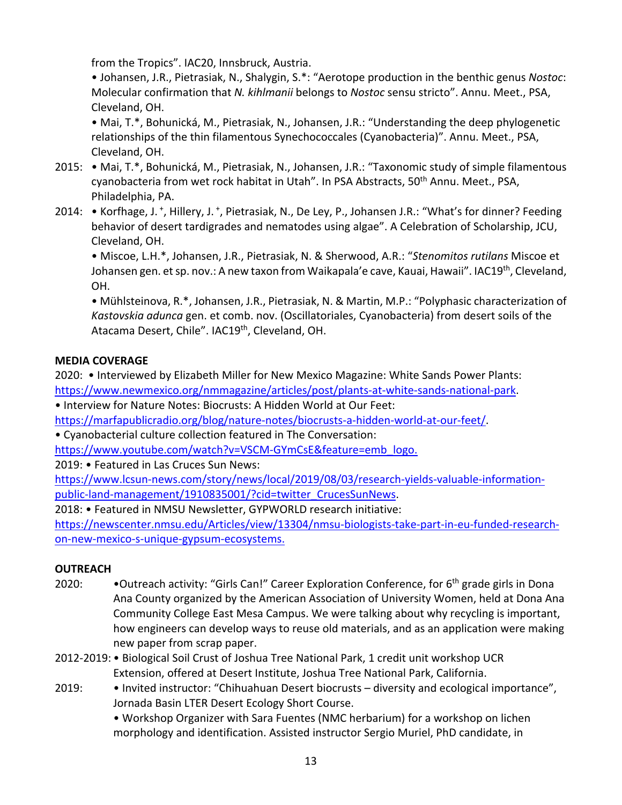from the Tropics". IAC20, Innsbruck, Austria.

• Johansen, J.R., Pietrasiak, N., Shalygin, S.\*: "Aerotope production in the benthic genus *Nostoc*: Molecular confirmation that *N. kihlmanii* belongs to *Nostoc* sensu stricto". Annu. Meet., PSA, Cleveland, OH.

• Mai, T.\*, Bohunická, M., Pietrasiak, N., Johansen, J.R.: "Understanding the deep phylogenetic relationships of the thin filamentous Synechococcales (Cyanobacteria)". Annu. Meet., PSA, Cleveland, OH.

- 2015: Mai, T.\*, Bohunická, M., Pietrasiak, N., Johansen, J.R.: "Taxonomic study of simple filamentous cyanobacteria from wet rock habitat in Utah". In PSA Abstracts, 50<sup>th</sup> Annu. Meet., PSA, Philadelphia, PA.
- 2014: Korfhage, J.<sup>+</sup>, Hillery, J.<sup>+</sup>, Pietrasiak, N., De Ley, P., Johansen J.R.: "What's for dinner? Feeding behavior of desert tardigrades and nematodes using algae". A Celebration of Scholarship, JCU, Cleveland, OH.

• Miscoe, L.H.\*, Johansen, J.R., Pietrasiak, N. & Sherwood, A.R.: "*Stenomitos rutilans* Miscoe et Johansen gen. et sp. nov.: A new taxon from Waikapala'e cave, Kauai, Hawaii". IAC19<sup>th</sup>, Cleveland, OH.

• Mühlsteinova, R.\*, Johansen, J.R., Pietrasiak, N. & Martin, M.P.: "Polyphasic characterization of *Kastovskia adunca* gen. et comb. nov. (Oscillatoriales, Cyanobacteria) from desert soils of the Atacama Desert, Chile". IAC19<sup>th</sup>, Cleveland, OH.

# **MEDIA COVERAGE**

2020: • Interviewed by Elizabeth Miller for New Mexico Magazine: White Sands Power Plants: https://www.newmexico.org/nmmagazine/articles/post/plants-at-white-sands-national-park.

• Interview for Nature Notes: Biocrusts: A Hidden World at Our Feet:

https://marfapublicradio.org/blog/nature-notes/biocrusts-a-hidden-world-at-our-feet/.

• Cyanobacterial culture collection featured in The Conversation:

https://www.youtube.com/watch?v=VSCM-GYmCsE&feature=emb\_logo.

2019: • Featured in Las Cruces Sun News:

https://www.lcsun-news.com/story/news/local/2019/08/03/research-yields-valuable-informationpublic-land-management/1910835001/?cid=twitter\_CrucesSunNews.

2018: • Featured in NMSU Newsletter, GYPWORLD research initiative:

https://newscenter.nmsu.edu/Articles/view/13304/nmsu-biologists-take-part-in-eu-funded-researchon-new-mexico-s-unique-gypsum-ecosystems.

# **OUTREACH**

- 2020: • Outreach activity: "Girls Can!" Career Exploration Conference, for 6<sup>th</sup> grade girls in Dona Ana County organized by the American Association of University Women, held at Dona Ana Community College East Mesa Campus. We were talking about why recycling is important, how engineers can develop ways to reuse old materials, and as an application were making new paper from scrap paper.
- 2012-2019: Biological Soil Crust of Joshua Tree National Park, 1 credit unit workshop UCR Extension, offered at Desert Institute, Joshua Tree National Park, California.
- 2019: Invited instructor: "Chihuahuan Desert biocrusts diversity and ecological importance", Jornada Basin LTER Desert Ecology Short Course.

• Workshop Organizer with Sara Fuentes (NMC herbarium) for a workshop on lichen morphology and identification. Assisted instructor Sergio Muriel, PhD candidate, in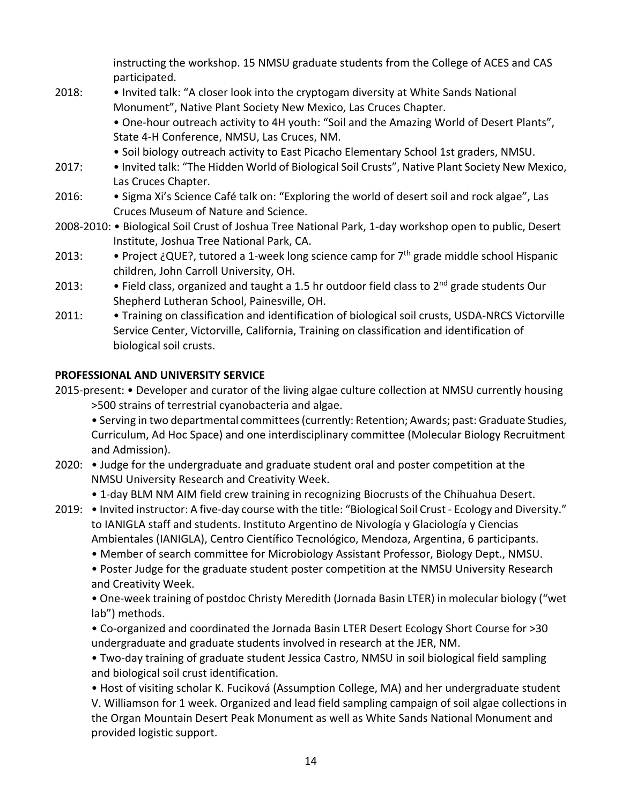instructing the workshop. 15 NMSU graduate students from the College of ACES and CAS participated.

- 2018: Invited talk: "A closer look into the cryptogam diversity at White Sands National Monument", Native Plant Society New Mexico, Las Cruces Chapter. • One-hour outreach activity to 4H youth: "Soil and the Amazing World of Desert Plants", State 4-H Conference, NMSU, Las Cruces, NM.
	- Soil biology outreach activity to East Picacho Elementary School 1st graders, NMSU.
- 2017: Invited talk: "The Hidden World of Biological Soil Crusts", Native Plant Society New Mexico, Las Cruces Chapter.
- 2016: Sigma Xi's Science Café talk on: "Exploring the world of desert soil and rock algae", Las Cruces Museum of Nature and Science.
- 2008-2010: Biological Soil Crust of Joshua Tree National Park, 1-day workshop open to public, Desert Institute, Joshua Tree National Park, CA.
- 2013: Project ¿QUE?, tutored a 1-week long science camp for  $7<sup>th</sup>$  grade middle school Hispanic children, John Carroll University, OH.
- 2013: Field class, organized and taught a 1.5 hr outdoor field class to  $2^{nd}$  grade students Our Shepherd Lutheran School, Painesville, OH.
- 2011: Training on classification and identification of biological soil crusts, USDA-NRCS Victorville Service Center, Victorville, California, Training on classification and identification of biological soil crusts.

## **PROFESSIONAL AND UNIVERSITY SERVICE**

2015-present: • Developer and curator of the living algae culture collection at NMSU currently housing >500 strains of terrestrial cyanobacteria and algae.

• Serving in two departmental committees (currently: Retention; Awards; past: Graduate Studies, Curriculum, Ad Hoc Space) and one interdisciplinary committee (Molecular Biology Recruitment and Admission).

2020: • Judge for the undergraduate and graduate student oral and poster competition at the NMSU University Research and Creativity Week.

• 1-day BLM NM AIM field crew training in recognizing Biocrusts of the Chihuahua Desert.

- 2019: Invited instructor: A five-day course with the title: "Biological Soil Crust Ecology and Diversity." to IANIGLA staff and students. Instituto Argentino de Nivología y Glaciología y Ciencias Ambientales (IANIGLA), Centro Científico Tecnológico, Mendoza, Argentina, 6 participants.
	- Member of search committee for Microbiology Assistant Professor, Biology Dept., NMSU.

• Poster Judge for the graduate student poster competition at the NMSU University Research and Creativity Week.

• One-week training of postdoc Christy Meredith (Jornada Basin LTER) in molecular biology ("wet lab") methods.

• Co-organized and coordinated the Jornada Basin LTER Desert Ecology Short Course for >30 undergraduate and graduate students involved in research at the JER, NM.

• Two-day training of graduate student Jessica Castro, NMSU in soil biological field sampling and biological soil crust identification.

• Host of visiting scholar K. Fuciková (Assumption College, MA) and her undergraduate student V. Williamson for 1 week. Organized and lead field sampling campaign of soil algae collections in the Organ Mountain Desert Peak Monument as well as White Sands National Monument and provided logistic support.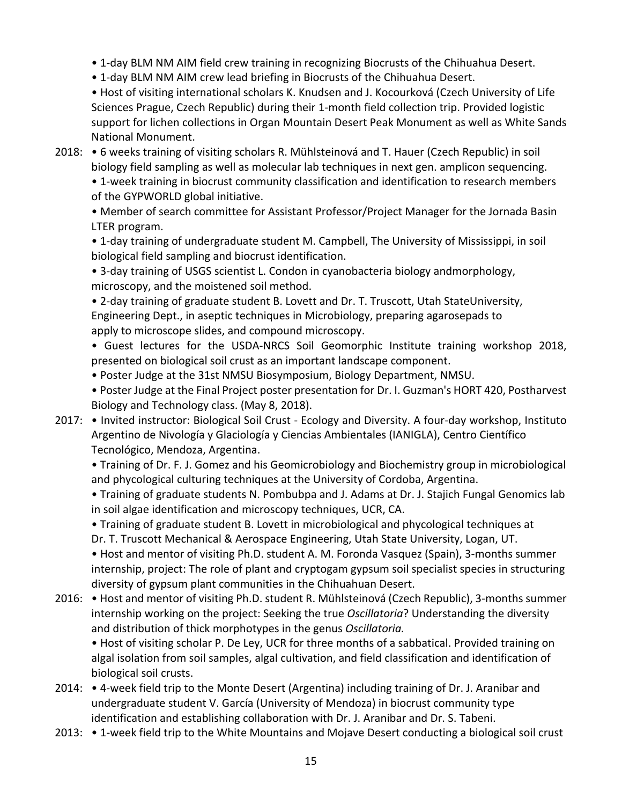- 1-day BLM NM AIM field crew training in recognizing Biocrusts of the Chihuahua Desert.
- 1-day BLM NM AIM crew lead briefing in Biocrusts of the Chihuahua Desert.

• Host of visiting international scholars K. Knudsen and J. Kocourková (Czech University of Life Sciences Prague, Czech Republic) during their 1-month field collection trip. Provided logistic support for lichen collections in Organ Mountain Desert Peak Monument as well as White Sands National Monument.

2018: • 6 weeks training of visiting scholars R. Mühlsteinová and T. Hauer (Czech Republic) in soil biology field sampling as well as molecular lab techniques in next gen. amplicon sequencing.

• 1-week training in biocrust community classification and identification to research members of the GYPWORLD global initiative.

• Member of search committee for Assistant Professor/Project Manager for the Jornada Basin LTER program.

• 1-day training of undergraduate student M. Campbell, The University of Mississippi, in soil biological field sampling and biocrust identification.

• 3-day training of USGS scientist L. Condon in cyanobacteria biology andmorphology, microscopy, and the moistened soil method.

• 2-day training of graduate student B. Lovett and Dr. T. Truscott, Utah StateUniversity, Engineering Dept., in aseptic techniques in Microbiology, preparing agarosepads to apply to microscope slides, and compound microscopy.

• Guest lectures for the USDA-NRCS Soil Geomorphic Institute training workshop 2018, presented on biological soil crust as an important landscape component.

• Poster Judge at the 31st NMSU Biosymposium, Biology Department, NMSU.

• Poster Judge at the Final Project poster presentation for Dr. I. Guzman's HORT 420, Postharvest Biology and Technology class. (May 8, 2018).

2017: • Invited instructor: Biological Soil Crust - Ecology and Diversity. A four-day workshop, Instituto Argentino de Nivología y Glaciología y Ciencias Ambientales (IANIGLA), Centro Científico Tecnológico, Mendoza, Argentina.

• Training of Dr. F. J. Gomez and his Geomicrobiology and Biochemistry group in microbiological and phycological culturing techniques at the University of Cordoba, Argentina.

• Training of graduate students N. Pombubpa and J. Adams at Dr. J. Stajich Fungal Genomics lab in soil algae identification and microscopy techniques, UCR, CA.

• Training of graduate student B. Lovett in microbiological and phycological techniques at Dr. T. Truscott Mechanical & Aerospace Engineering, Utah State University, Logan, UT.

• Host and mentor of visiting Ph.D. student A. M. Foronda Vasquez (Spain), 3-months summer internship, project: The role of plant and cryptogam gypsum soil specialist species in structuring diversity of gypsum plant communities in the Chihuahuan Desert.

2016: • Host and mentor of visiting Ph.D. student R. Mühlsteinová (Czech Republic), 3-months summer internship working on the project: Seeking the true *Oscillatoria*? Understanding the diversity and distribution of thick morphotypes in the genus *Oscillatoria.*

• Host of visiting scholar P. De Ley, UCR for three months of a sabbatical. Provided training on algal isolation from soil samples, algal cultivation, and field classification and identification of biological soil crusts.

- 2014: 4-week field trip to the Monte Desert (Argentina) including training of Dr. J. Aranibar and undergraduate student V. García (University of Mendoza) in biocrust community type identification and establishing collaboration with Dr. J. Aranibar and Dr. S. Tabeni.
- 2013: 1-week field trip to the White Mountains and Mojave Desert conducting a biological soil crust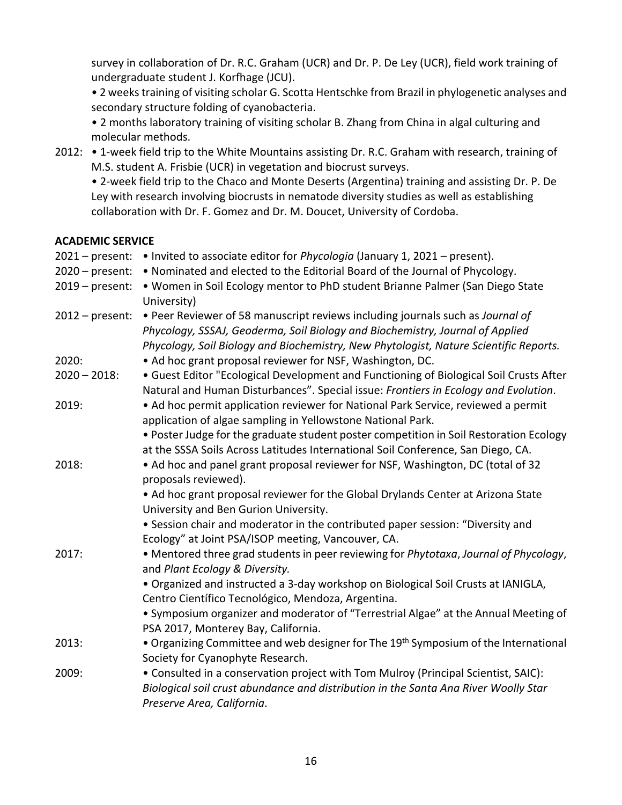survey in collaboration of Dr. R.C. Graham (UCR) and Dr. P. De Ley (UCR), field work training of undergraduate student J. Korfhage (JCU).

• 2 weeks training of visiting scholar G. Scotta Hentschke from Brazil in phylogenetic analyses and secondary structure folding of cyanobacteria.

• 2 months laboratory training of visiting scholar B. Zhang from China in algal culturing and molecular methods.

2012: • 1-week field trip to the White Mountains assisting Dr. R.C. Graham with research, training of M.S. student A. Frisbie (UCR) in vegetation and biocrust surveys.

• 2-week field trip to the Chaco and Monte Deserts (Argentina) training and assisting Dr. P. De Ley with research involving biocrusts in nematode diversity studies as well as establishing collaboration with Dr. F. Gomez and Dr. M. Doucet, University of Cordoba.

#### **ACADEMIC SERVICE**

| $2021$ – present: | . Invited to associate editor for Phycologia (January 1, 2021 - present).                                                                                                                                                                                |
|-------------------|----------------------------------------------------------------------------------------------------------------------------------------------------------------------------------------------------------------------------------------------------------|
| $2020$ – present: | . Nominated and elected to the Editorial Board of the Journal of Phycology.                                                                                                                                                                              |
| $2019$ – present: | . Women in Soil Ecology mentor to PhD student Brianne Palmer (San Diego State<br>University)                                                                                                                                                             |
| $2012$ – present: | • Peer Reviewer of 58 manuscript reviews including journals such as Journal of<br>Phycology, SSSAJ, Geoderma, Soil Biology and Biochemistry, Journal of Applied<br>Phycology, Soil Biology and Biochemistry, New Phytologist, Nature Scientific Reports. |
| 2020:             | • Ad hoc grant proposal reviewer for NSF, Washington, DC.                                                                                                                                                                                                |
| $2020 - 2018$ :   | • Guest Editor "Ecological Development and Functioning of Biological Soil Crusts After<br>Natural and Human Disturbances". Special issue: Frontiers in Ecology and Evolution.                                                                            |
| 2019:             | • Ad hoc permit application reviewer for National Park Service, reviewed a permit<br>application of algae sampling in Yellowstone National Park.                                                                                                         |
|                   | . Poster Judge for the graduate student poster competition in Soil Restoration Ecology<br>at the SSSA Soils Across Latitudes International Soil Conference, San Diego, CA.                                                                               |
| 2018:             | • Ad hoc and panel grant proposal reviewer for NSF, Washington, DC (total of 32<br>proposals reviewed).                                                                                                                                                  |
|                   | • Ad hoc grant proposal reviewer for the Global Drylands Center at Arizona State<br>University and Ben Gurion University.                                                                                                                                |
|                   | • Session chair and moderator in the contributed paper session: "Diversity and<br>Ecology" at Joint PSA/ISOP meeting, Vancouver, CA.                                                                                                                     |
| 2017:             | • Mentored three grad students in peer reviewing for Phytotaxa, Journal of Phycology,<br>and Plant Ecology & Diversity.                                                                                                                                  |
|                   | . Organized and instructed a 3-day workshop on Biological Soil Crusts at IANIGLA,<br>Centro Científico Tecnológico, Mendoza, Argentina.                                                                                                                  |
|                   | • Symposium organizer and moderator of "Terrestrial Algae" at the Annual Meeting of<br>PSA 2017, Monterey Bay, California.                                                                                                                               |
| 2013:             | • Organizing Committee and web designer for The 19 <sup>th</sup> Symposium of the International<br>Society for Cyanophyte Research.                                                                                                                      |
| 2009:             | • Consulted in a conservation project with Tom Mulroy (Principal Scientist, SAIC):<br>Biological soil crust abundance and distribution in the Santa Ana River Woolly Star<br>Preserve Area, California.                                                  |
|                   |                                                                                                                                                                                                                                                          |